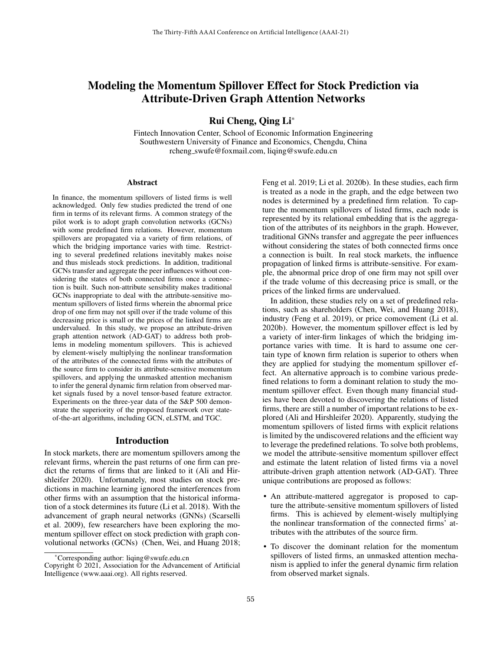# Modeling the Momentum Spillover Effect for Stock Prediction via Attribute-Driven Graph Attention Networks

Rui Cheng, Qing Li\*

Fintech Innovation Center, School of Economic Information Engineering Southwestern University of Finance and Economics, Chengdu, China rcheng swufe@foxmail.com, liqing@swufe.edu.cn

#### Abstract

In finance, the momentum spillovers of listed firms is well acknowledged. Only few studies predicted the trend of one firm in terms of its relevant firms. A common strategy of the pilot work is to adopt graph convolution networks (GCNs) with some predefined firm relations. However, momentum spillovers are propagated via a variety of firm relations, of which the bridging importance varies with time. Restricting to several predefined relations inevitably makes noise and thus misleads stock predictions. In addition, traditional GCNs transfer and aggregate the peer influences without considering the states of both connected firms once a connection is built. Such non-attribute sensibility makes traditional GCNs inappropriate to deal with the attribute-sensitive momentum spillovers of listed firms wherein the abnormal price drop of one firm may not spill over if the trade volume of this decreasing price is small or the prices of the linked firms are undervalued. In this study, we propose an attribute-driven graph attention network (AD-GAT) to address both problems in modeling momentum spillovers. This is achieved by element-wisely multiplying the nonlinear transformation of the attributes of the connected firms with the attributes of the source firm to consider its attribute-sensitive momentum spillovers, and applying the unmasked attention mechanism to infer the general dynamic firm relation from observed market signals fused by a novel tensor-based feature extractor. Experiments on the three-year data of the S&P 500 demonstrate the superiority of the proposed framework over stateof-the-art algorithms, including GCN, eLSTM, and TGC.

### Introduction

In stock markets, there are momentum spillovers among the relevant firms, wherein the past returns of one firm can predict the returns of firms that are linked to it (Ali and Hirshleifer 2020). Unfortunately, most studies on stock predictions in machine learning ignored the interferences from other firms with an assumption that the historical information of a stock determines its future (Li et al. 2018). With the advancement of graph neural networks (GNNs) (Scarselli et al. 2009), few researchers have been exploring the momentum spillover effect on stock prediction with graph convolutional networks (GCNs) (Chen, Wei, and Huang 2018; Feng et al. 2019; Li et al. 2020b). In these studies, each firm is treated as a node in the graph, and the edge between two nodes is determined by a predefined firm relation. To capture the momentum spillovers of listed firms, each node is represented by its relational embedding that is the aggregation of the attributes of its neighbors in the graph. However, traditional GNNs transfer and aggregate the peer influences without considering the states of both connected firms once a connection is built. In real stock markets, the influence propagation of linked firms is attribute-sensitive. For example, the abnormal price drop of one firm may not spill over if the trade volume of this decreasing price is small, or the prices of the linked firms are undervalued.

In addition, these studies rely on a set of predefined relations, such as shareholders (Chen, Wei, and Huang 2018), industry (Feng et al. 2019), or price comovement (Li et al. 2020b). However, the momentum spillover effect is led by a variety of inter-firm linkages of which the bridging importance varies with time. It is hard to assume one certain type of known firm relation is superior to others when they are applied for studying the momentum spillover effect. An alternative approach is to combine various predefined relations to form a dominant relation to study the momentum spillover effect. Even though many financial studies have been devoted to discovering the relations of listed firms, there are still a number of important relations to be explored (Ali and Hirshleifer 2020). Apparently, studying the momentum spillovers of listed firms with explicit relations is limited by the undiscovered relations and the efficient way to leverage the predefined relations. To solve both problems, we model the attribute-sensitive momentum spillover effect and estimate the latent relation of listed firms via a novel attribute-driven graph attention network (AD-GAT). Three unique contributions are proposed as follows:

- An attribute-mattered aggregator is proposed to capture the attribute-sensitive momentum spillovers of listed firms. This is achieved by element-wisely multiplying the nonlinear transformation of the connected firms' attributes with the attributes of the source firm.
- To discover the dominant relation for the momentum spillovers of listed firms, an unmasked attention mechanism is applied to infer the general dynamic firm relation from observed market signals.

<sup>\*</sup>Corresponding author: liqing@swufe.edu.cn

Copyright © 2021, Association for the Advancement of Artificial Intelligence (www.aaai.org). All rights reserved.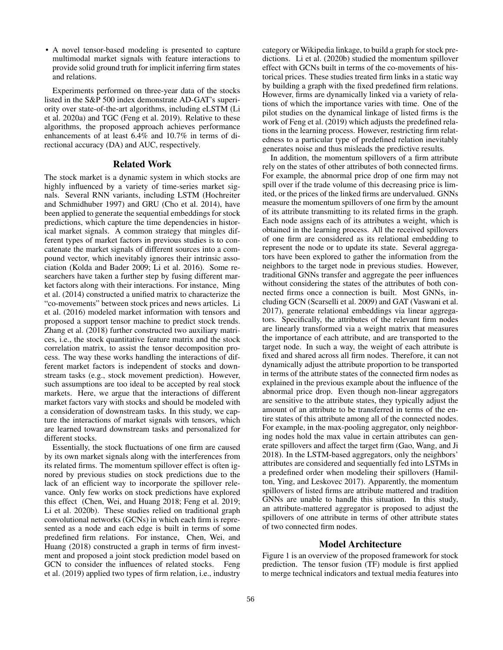• A novel tensor-based modeling is presented to capture multimodal market signals with feature interactions to provide solid ground truth for implicit inferring firm states and relations.

Experiments performed on three-year data of the stocks listed in the S&P 500 index demonstrate AD-GAT's superiority over state-of-the-art algorithms, including eLSTM (Li et al. 2020a) and TGC (Feng et al. 2019). Relative to these algorithms, the proposed approach achieves performance enhancements of at least 6.4% and 10.7% in terms of directional accuracy (DA) and AUC, respectively.

# Related Work

The stock market is a dynamic system in which stocks are highly influenced by a variety of time-series market signals. Several RNN variants, including LSTM (Hochreiter and Schmidhuber 1997) and GRU (Cho et al. 2014), have been applied to generate the sequential embeddings for stock predictions, which capture the time dependencies in historical market signals. A common strategy that mingles different types of market factors in previous studies is to concatenate the market signals of different sources into a compound vector, which inevitably ignores their intrinsic association (Kolda and Bader 2009; Li et al. 2016). Some researchers have taken a further step by fusing different market factors along with their interactions. For instance, Ming et al. (2014) constructed a unified matrix to characterize the "co-movements" between stock prices and news articles. Li et al. (2016) modeled market information with tensors and proposed a support tensor machine to predict stock trends. Zhang et al. (2018) further constructed two auxiliary matrices, i.e., the stock quantitative feature matrix and the stock correlation matrix, to assist the tensor decomposition process. The way these works handling the interactions of different market factors is independent of stocks and downstream tasks (e.g., stock movement prediction). However, such assumptions are too ideal to be accepted by real stock markets. Here, we argue that the interactions of different market factors vary with stocks and should be modeled with a consideration of downstream tasks. In this study, we capture the interactions of market signals with tensors, which are learned toward downstream tasks and personalized for different stocks.

Essentially, the stock fluctuations of one firm are caused by its own market signals along with the interferences from its related firms. The momentum spillover effect is often ignored by previous studies on stock predictions due to the lack of an efficient way to incorporate the spillover relevance. Only few works on stock predictions have explored this effect (Chen, Wei, and Huang 2018; Feng et al. 2019; Li et al. 2020b). These studies relied on traditional graph convolutional networks (GCNs) in which each firm is represented as a node and each edge is built in terms of some predefined firm relations. For instance, Chen, Wei, and Huang (2018) constructed a graph in terms of firm investment and proposed a joint stock prediction model based on GCN to consider the influences of related stocks. Feng et al. (2019) applied two types of firm relation, i.e., industry category or Wikipedia linkage, to build a graph for stock predictions. Li et al. (2020b) studied the momentum spillover effect with GCNs built in terms of the co-movements of historical prices. These studies treated firm links in a static way by building a graph with the fixed predefined firm relations. However, firms are dynamically linked via a variety of relations of which the importance varies with time. One of the pilot studies on the dynamical linkage of listed firms is the work of Feng et al. (2019) which adjusts the predefined relations in the learning process. However, restricting firm relatedness to a particular type of predefined relation inevitably generates noise and thus misleads the predictive results.

In addition, the momentum spillovers of a firm attribute rely on the states of other attributes of both connected firms. For example, the abnormal price drop of one firm may not spill over if the trade volume of this decreasing price is limited, or the prices of the linked firms are undervalued. GNNs measure the momentum spillovers of one firm by the amount of its attribute transmitting to its related firms in the graph. Each node assigns each of its attributes a weight, which is obtained in the learning process. All the received spillovers of one firm are considered as its relational embedding to represent the node or to update its state. Several aggregators have been explored to gather the information from the neighbors to the target node in previous studies. However, traditional GNNs transfer and aggregate the peer influences without considering the states of the attributes of both connected firms once a connection is built. Most GNNs, including GCN (Scarselli et al. 2009) and GAT (Vaswani et al. 2017), generate relational embeddings via linear aggregators. Specifically, the attributes of the relevant firm nodes are linearly transformed via a weight matrix that measures the importance of each attribute, and are transported to the target node. In such a way, the weight of each attribute is fixed and shared across all firm nodes. Therefore, it can not dynamically adjust the attribute proportion to be transported in terms of the attribute states of the connected firm nodes as explained in the previous example about the influence of the abnormal price drop. Even though non-linear aggregators are sensitive to the attribute states, they typically adjust the amount of an attribute to be transferred in terms of the entire states of this attribute among all of the connected nodes. For example, in the max-pooling aggregator, only neighboring nodes hold the max value in certain attributes can generate spillovers and affect the target firm (Gao, Wang, and Ji 2018). In the LSTM-based aggregators, only the neighbors' attributes are considered and sequentially fed into LSTMs in a predefined order when modeling their spillovers (Hamilton, Ying, and Leskovec 2017). Apparently, the momentum spillovers of listed firms are attribute mattered and tradition GNNs are unable to handle this situation. In this study, an attribute-mattered aggregator is proposed to adjust the spillovers of one attribute in terms of other attribute states of two connected firm nodes.

### Model Architecture

Figure 1 is an overview of the proposed framework for stock prediction. The tensor fusion (TF) module is first applied to merge technical indicators and textual media features into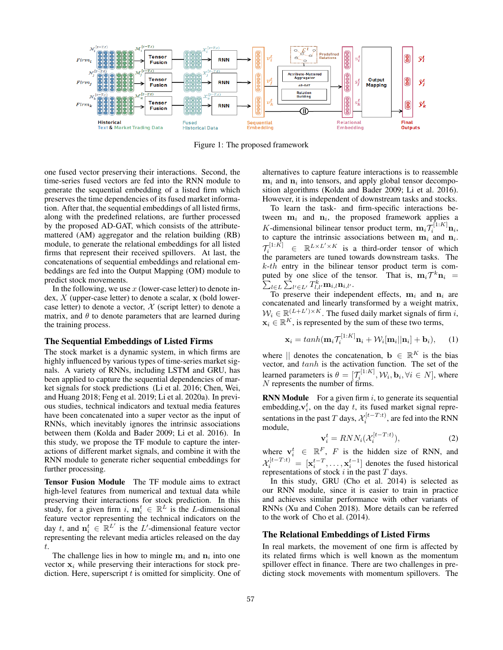

Figure 1: The proposed framework

one fused vector preserving their interactions. Second, the time-series fused vectors are fed into the RNN module to generate the sequential embedding of a listed firm which preserves the time dependencies of its fused market information. After that, the sequential embeddings of all listed firms, along with the predefined relations, are further processed by the proposed AD-GAT, which consists of the attributemattered (AM) aggregator and the relation building (RB) module, to generate the relational embeddings for all listed firms that represent their received spillovers. At last, the concatenations of sequential embeddings and relational embeddings are fed into the Output Mapping (OM) module to predict stock movements.

In the following, we use  $x$  (lower-case letter) to denote index,  $X$  (upper-case letter) to denote a scalar,  $x$  (bold lowercase letter) to denote a vector,  $\mathcal X$  (script letter) to denote a matrix, and  $\theta$  to denote parameters that are learned during the training process.

### The Sequential Embeddings of Listed Firms

The stock market is a dynamic system, in which firms are highly influenced by various types of time-series market signals. A variety of RNNs, including LSTM and GRU, has been applied to capture the sequential dependencies of market signals for stock predictions (Li et al. 2016; Chen, Wei, and Huang 2018; Feng et al. 2019; Li et al. 2020a). In previous studies, technical indicators and textual media features have been concatenated into a super vector as the input of RNNs, which inevitably ignores the intrinsic associations between them (Kolda and Bader 2009; Li et al. 2016). In this study, we propose the TF module to capture the interactions of different market signals, and combine it with the RNN module to generate richer sequential embeddings for further processing.

Tensor Fusion Module The TF module aims to extract high-level features from numerical and textual data while preserving their interactions for stock prediction. In this study, for a given firm i,  $\mathbf{m}_i^t \in \mathbb{R}^L$  is the L-dimensional feature vector representing the technical indicators on the day t, and  $\mathbf{n}_i^t \in \mathbb{R}^{L'}$  is the L'-dimensional feature vector representing the relevant media articles released on the day t.

The challenge lies in how to mingle  $m_i$  and  $n_i$  into one vector  $x_i$  while preserving their interactions for stock prediction. Here, superscript  $t$  is omitted for simplicity. One of alternatives to capture feature interactions is to reassemble  $m_i$  and  $n_i$  into tensors, and apply global tensor decomposition algorithms (Kolda and Bader 2009; Li et al. 2016). However, it is independent of downstream tasks and stocks.

To learn the task- and firm-specific interactions between  $m_i$  and  $n_i$ , the proposed framework applies a K-dimensional bilinear tensor product term,  $\mathbf{m}_i \mathcal{T}_i^{[1:K]} \mathbf{n}_i$ , to capture the intrinsic associations between  $m_i$  and  $n_i$ .  $\mathcal{T}_i^{[1:K]} \in \mathbb{R}^{L \times L' \times K}$  is a third-order tensor of which the parameters are tuned towards downstream tasks. The  $k$ -th entry in the bilinear tensor product term is computed by one slice of the tensor. That is,  $\mathbf{m}_i \mathcal{T}^k \mathbf{n}_i = \sum_{l \in L} \sum_{l' \in L'} T^k_{l,l'} \mathbf{m}_{i,l} \mathbf{n}_{i,l'}$ .  $_{l\in L}\sum_{l'\in L'}T_{l,l'}^k \mathbf{m}_{i,l}\mathbf{n}_{i,l'}.$ 

To preserve their independent effects,  $m_i$  and  $n_i$  are concatenated and linearly transformed by a weight matrix,  $W_i \in \mathbb{R}^{(L+L')\times K}$ . The fused daily market signals of firm i,  $\mathbf{x}_i \in \mathbb{R}^K$ , is represented by the sum of these two terms,

$$
\mathbf{x}_i = \tanh(\mathbf{m}_i \mathcal{T}_i^{[1:K]} \mathbf{n}_i + \mathcal{W}_i[\mathbf{m}_i || \mathbf{n}_i] + \mathbf{b}_i), \quad (1)
$$

where || denotes the concatenation,  $\mathbf{b} \in \mathbb{R}^K$  is the bias vector, and  $tanh$  is the activation function. The set of the learned parameters is  $\theta = [\mathcal{T}_i^{[1:K]}, \mathcal{W}_i, \mathbf{b}_i, \forall i \in N]$ , where N represents the number of firms.

**RNN Module** For a given firm  $i$ , to generate its sequential embedding,  $v_i^t$ , on the day t, its fused market signal representations in the past T days,  $\mathcal{X}_i^{[t-T:t]}$ , are fed into the RNN module,

$$
\mathbf{v}_i^t = RNN_i(\mathcal{X}_i^{[t-T:t)}),\tag{2}
$$

where  $\mathbf{v}_i^t \in \mathbb{R}^F$ , F is the hidden size of RNN, and  $\mathcal{X}_i^{[t-T:t)} = [\mathbf{x}_i^{t-T}, \dots, \mathbf{x}_i^{t-1}]$  denotes the fused historical representations of stock  $i$  in the past  $T$  days.

In this study, GRU (Cho et al. 2014) is selected as our RNN module, since it is easier to train in practice and achieves similar performance with other variants of RNNs (Xu and Cohen 2018). More details can be referred to the work of Cho et al. (2014).

### The Relational Embeddings of Listed Firms

In real markets, the movement of one firm is affected by its related firms which is well known as the momentum spillover effect in finance. There are two challenges in predicting stock movements with momentum spillovers. The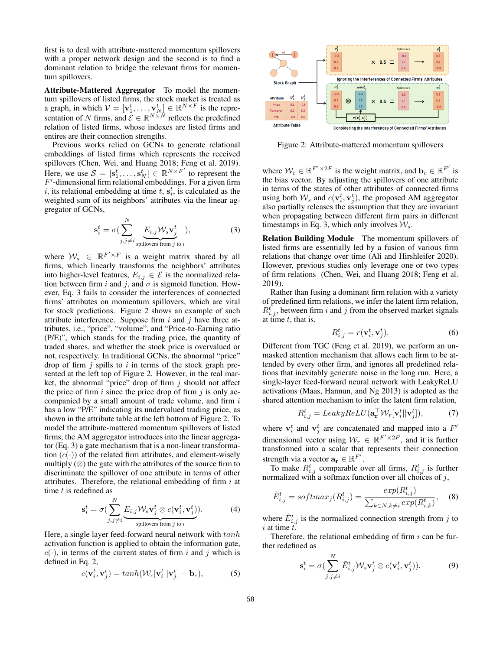first is to deal with attribute-mattered momentum spillovers with a proper network design and the second is to find a dominant relation to bridge the relevant firms for momentum spillovers.

Attribute-Mattered Aggregator To model the momentum spillovers of listed firms, the stock market is treated as a graph, in which  $V = [\mathbf{v}_1^t, \dots, \mathbf{v}_N^t] \in \mathbb{R}^{N \times F}$  is the representation of N firms, and  $\mathcal{E} \in \mathbb{R}^{N \times N}$  reflects the predefined relation of listed firms, whose indexes are listed firms and entires are their connection strengths.

Previous works relied on GCNs to generate relational embeddings of listed firms which represents the received spillovers (Chen, Wei, and Huang 2018; Feng et al. 2019). Here, we use  $S = [\mathbf{s}_1^t, \dots, \mathbf{s}_N^t] \in \mathbb{R}^{N \times F'}$  to represent the  $F'$ -dimensional firm relational embeddings. For a given firm i, its relational embedding at time t,  $s_i^t$ , is calculated as the weighted sum of its neighbors' attributes via the linear aggregator of GCNs,

$$
\mathbf{s}_{i}^{t} = \sigma \left( \sum_{j,j \neq i}^{N} \underbrace{E_{i,j} \mathcal{W}_{s} \mathbf{v}_{j}^{t}}_{\text{spillovers from } j \text{ to } i} \right),\tag{3}
$$

where  $W_s \in \mathbb{R}^{F' \times F}$  is a weight matrix shared by all firms, which linearly transforms the neighbors' attributes into higher-level features,  $E_{i,j} \in \mathcal{E}$  is the normalized relation between firm i and j, and  $\sigma$  is sigmoid function. However, Eq. 3 fails to consider the interferences of connected firms' attributes on momentum spillovers, which are vital for stock predictions. Figure 2 shows an example of such attribute interference. Suppose firm  $i$  and  $j$  have three attributes, i.e., "price", "volume", and "Price-to-Earning ratio (P/E)", which stands for the trading price, the quantity of traded shares, and whether the stock price is overvalued or not, respectively. In traditional GCNs, the abnormal "price" drop of firm  $j$  spills to  $i$  in terms of the stock graph presented at the left top of Figure 2. However, in the real market, the abnormal "price" drop of firm  $j$  should not affect the price of firm i since the price drop of firm  $i$  is only accompanied by a small amount of trade volume, and firm i has a low "P/E" indicating its undervalued trading price, as shown in the attribute table at the left bottom of Figure 2. To model the attribute-mattered momentum spillovers of listed firms, the AM aggregator introduces into the linear aggregator (Eq. 3) a gate mechanism that is a non-linear transformation  $(c(\cdot))$  of the related firm attributes, and element-wisely multiply  $(\otimes)$  the gate with the attributes of the source firm to discriminate the spillover of one attribute in terms of other attributes. Therefore, the relational embedding of firm  $i$  at time  $t$  is redefined as

$$
\mathbf{s}_i^t = \sigma \big( \sum_{j,j \neq i}^N \underbrace{E_{i,j} \mathcal{W}_s \mathbf{v}_j^t \otimes c(\mathbf{v}_i^t, \mathbf{v}_j^t)}_{\text{spillovers from } j \text{ to } i} \big). \tag{4}
$$

Here, a single layer feed-forward neural network with  $tanh$ activation function is applied to obtain the information gate,  $c(\cdot)$ , in terms of the current states of firm i and j which is defined in Eq. 2,

$$
c(\mathbf{v}_i^t, \mathbf{v}_j^t) = tanh(\mathcal{W}_c[\mathbf{v}_i^t || \mathbf{v}_j^t] + \mathbf{b}_c),
$$
 (5)



Figure 2: Attribute-mattered momentum spillovers

where  $W_c \in \mathbb{R}^{F' \times 2F}$  is the weight matrix, and  $\mathbf{b}_c \in \mathbb{R}^{F'}$  is the bias vector. By adjusting the spillovers of one attribute in terms of the states of other attributes of connected firms using both  $W_s$  and  $c(\mathbf{v}_i^t, \mathbf{v}_j^t)$ , the proposed AM aggregator also partially releases the assumption that they are invariant when propagating between different firm pairs in different timestamps in Eq. 3, which only involves  $\mathcal{W}_s$ .

Relation Building Module The momentum spillovers of listed firms are essentially led by a fusion of various firm relations that change over time (Ali and Hirshleifer 2020). However, previous studies only leverage one or two types of firm relations (Chen, Wei, and Huang 2018; Feng et al. 2019).

Rather than fusing a dominant firm relation with a variety of predefined firm relations, we infer the latent firm relation,  $R_{i,j}$ , between firm i and j from the observed market signals at time  $t$ , that is,

$$
R_{i,j}^t = r(\mathbf{v}_i^t, \mathbf{v}_j^t). \tag{6}
$$

Different from TGC (Feng et al. 2019), we perform an unmasked attention mechanism that allows each firm to be attended by every other firm, and ignores all predefined relations that inevitably generate noise in the long run. Here, a single-layer feed-forward neural network with LeakyReLU activations (Maas, Hannun, and Ng 2013) is adopted as the shared attention mechanism to infer the latent firm relation,

$$
R_{i,j}^t = LeakyReLU(\mathbf{a}_\mathbf{r}^\top \mathcal{W}_r[\mathbf{v}_i^t || \mathbf{v}_j^t]),\tag{7}
$$

where  $\mathbf{v}_i^t$  and  $\mathbf{v}_j^t$  are concatenated and mapped into a  $F'$ dimensional vector using  $W_r \in \mathbb{R}^{F' \times 2F}$ , and it is further transformed into a scalar that represents their connection strength via a vector  $\mathbf{a_r} \in \mathbb{R}^{F'}$ .

To make  $R_{i,j}^t$  comparable over all firms,  $R_{i,j}^t$  is further normalized with a softmax function over all choices of  $j$ ,

$$
\tilde{E}_{i,j}^{t} = softmax_j(R_{i,j}^{t}) = \frac{exp(R_{i,j}^{t})}{\sum_{k \in N, k \neq i} exp(R_{i,k}^{t})},
$$
 (8)

where  $\tilde{E}^t_{i,j}$  is the normalized connection strength from j to  $i$  at time  $t$ .

Therefore, the relational embedding of firm  $i$  can be further redefined as

$$
\mathbf{s}_i^t = \sigma \big( \sum_{j,j \neq i}^N \tilde{E}_{i,j}^t \mathcal{W}_s \mathbf{v}_j^t \otimes c(\mathbf{v}_i^t, \mathbf{v}_j^t) \big). \tag{9}
$$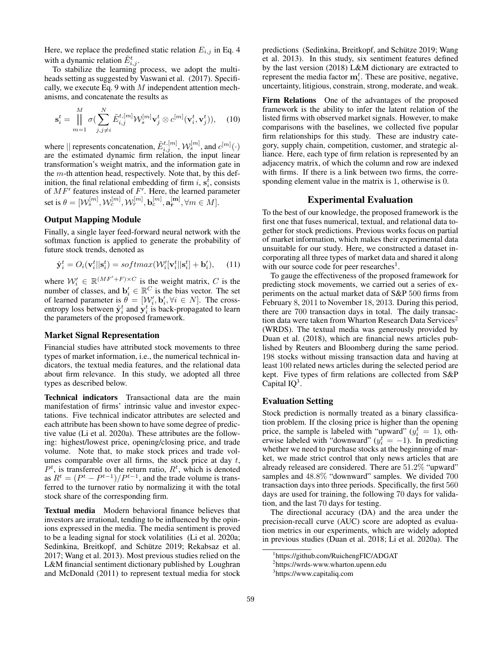Here, we replace the predefined static relation  $E_{i,j}$  in Eq. 4 with a dynamic relation  $\tilde{E}^t_{i,j}$ .

To stabilize the learning process, we adopt the multiheads setting as suggested by Vaswani et al. (2017). Specifically, we execute Eq. 9 with  $M$  independent attention mechanisms, and concatenate the results as

$$
\mathbf{s}_{i}^{t} = \prod_{m=1}^{M} \sigma(\sum_{j,j\neq i}^{N} \tilde{E}_{i,j}^{t,[m]} \mathcal{W}_{s}^{[m]} \mathbf{v}_{j}^{t} \otimes c^{[m]}(\mathbf{v}_{i}^{t}, \mathbf{v}_{j}^{t})), \quad (10)
$$

where  $||$  represents concatenation,  $\tilde{E}_{i,j}^{t,[m]}, \mathcal{W}_s^{[m]}$ , and  $c^{[m]}(\cdot)$ are the estimated dynamic firm relation, the input linear transformation's weight matrix, and the information gate in the  $m$ -th attention head, respectively. Note that, by this definition, the final relational embedding of firm i,  $s_i^i$ , consists of  $MF'$  features instead of  $F'$ . Here, the learned parameter  $\operatorname{set} \operatorname{is} \theta = [\mathcal{W}_s^{[m]}, \mathcal{W}_c^{[m]}, \mathcal{W}_r^{[m]}, \mathbf{b}_c^{[m]}, \mathbf{a}_{\mathbf{r}}^{[\mathbf{m}]}, \forall m \in M].$ 

# Output Mapping Module

Finally, a single layer feed-forward neural network with the softmax function is applied to generate the probability of future stock trends, denoted as

$$
\hat{\mathbf{y}}_i^t = O_i(\mathbf{v}_i^t || \mathbf{s}_i^t) = softmax(\mathcal{W}_i' [\mathbf{v}_i^t || \mathbf{s}_i^t] + \mathbf{b}_i'), \quad (11)
$$

where  $W_i' \in \mathbb{R}^{(MF'+F) \times C}$  is the weight matrix, C is the number of classes, and  $\mathbf{b}'_i \in \mathbb{R}^C$  is the bias vector. The set of learned parameter is  $\hat{\theta} = [\mathcal{W}'_i, \mathbf{b}'_i, \forall i \in N]$ . The crossentropy loss between  $\hat{\mathbf{y}}_i^t$  and  $\mathbf{y}_i^t$  is back-propagated to learn the parameters of the proposed framework.

### Market Signal Representation

Financial studies have attributed stock movements to three types of market information, i.e., the numerical technical indicators, the textual media features, and the relational data about firm relevance. In this study, we adopted all three types as described below.

Technical indicators Transactional data are the main manifestation of firms' intrinsic value and investor expectations. Five technical indicator attributes are selected and each attribute has been shown to have some degree of predictive value (Li et al. 2020a). These attributes are the following: highest/lowest price, opening/closing price, and trade volume. Note that, to make stock prices and trade volumes comparable over all firms, the stock price at day  $t$ ,  $P<sup>t</sup>$ , is transferred to the return ratio,  $R<sup>t</sup>$ , which is denoted as  $R^t = (P^t - P^{t-1})/P^{t-1}$ , and the trade volume is transferred to the turnover ratio by normalizing it with the total stock share of the corresponding firm.

Textual media Modern behavioral finance believes that investors are irrational, tending to be influenced by the opinions expressed in the media. The media sentiment is proved to be a leading signal for stock volatilities (Li et al. 2020a; Sedinkina, Breitkopf, and Schütze 2019; Rekabsaz et al. 2017; Wang et al. 2013). Most previous studies relied on the L&M financial sentiment dictionary published by Loughran and McDonald (2011) to represent textual media for stock

predictions (Sedinkina, Breitkopf, and Schütze 2019; Wang et al. 2013). In this study, six sentiment features defined by the last version (2018) L&M dictionary are extracted to represent the media factor  $\mathbf{m}_i^t$ . These are positive, negative, uncertainty, litigious, constrain, strong, moderate, and weak.

Firm Relations One of the advantages of the proposed framework is the ability to infer the latent relation of the listed firms with observed market signals. However, to make comparisons with the baselines, we collected five popular firm relationships for this study. These are industry category, supply chain, competition, customer, and strategic alliance. Here, each type of firm relation is represented by an adjacency matrix, of which the column and row are indexed with firms. If there is a link between two firms, the corresponding element value in the matrix is 1, otherwise is 0.

### Experimental Evaluation

To the best of our knowledge, the proposed framework is the first one that fuses numerical, textual, and relational data together for stock predictions. Previous works focus on partial of market information, which makes their experimental data unsuitable for our study. Here, we constructed a dataset incorporating all three types of market data and shared it along with our source code for peer researches<sup>1</sup>.

To gauge the effectiveness of the proposed framework for predicting stock movements, we carried out a series of experiments on the actual market data of S&P 500 firms from February 8, 2011 to November 18, 2013. During this period, there are 700 transaction days in total. The daily transaction data were taken from Wharton Research Data Services<sup>2</sup> (WRDS). The textual media was generously provided by Duan et al. (2018), which are financial news articles published by Reuters and Bloomberg during the same period. 198 stocks without missing transaction data and having at least 100 related news articles during the selected period are kept. Five types of firm relations are collected from S&P Capital  $IQ^3$ .

# Evaluation Setting

Stock prediction is normally treated as a binary classification problem. If the closing price is higher than the opening price, the sample is labeled with "upward"  $(y_i^t = 1)$ , otherwise labeled with "downward"  $(y_i^f = -1)$ . In predicting whether we need to purchase stocks at the beginning of market, we made strict control that only news articles that are already released are considered. There are 51.2% "upward" samples and 48.8% "downward" samples. We divided 700 transaction days into three periods. Specifically, the first 560 days are used for training, the following 70 days for validation, and the last 70 days for testing.

The directional accuracy (DA) and the area under the precision-recall curve (AUC) score are adopted as evaluation metrics in our experiments, which are widely adopted in previous studies (Duan et al. 2018; Li et al. 2020a). The

<sup>1</sup> https://github.com/RuichengFIC/ADGAT

<sup>2</sup> https://wrds-www.wharton.upenn.edu

<sup>3</sup> https://www.capitaliq.com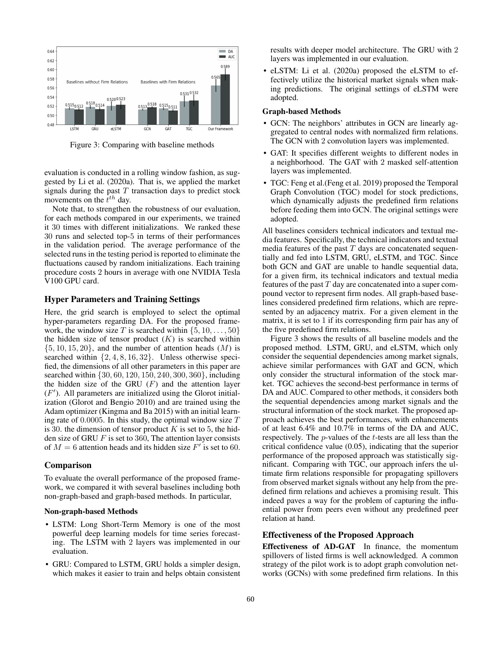

Figure 3: Comparing with baseline methods

evaluation is conducted in a rolling window fashion, as suggested by Li et al. (2020a). That is, we applied the market signals during the past  $T$  transaction days to predict stock movements on the  $\dot{t}^{th}$  day.

Note that, to strengthen the robustness of our evaluation, for each methods compared in our experiments, we trained it 30 times with different initializations. We ranked these 30 runs and selected top-5 in terms of their performances in the validation period. The average performance of the selected runs in the testing period is reported to eliminate the fluctuations caused by random initializations. Each training procedure costs 2 hours in average with one NVIDIA Tesla V100 GPU card.

### Hyper Parameters and Training Settings

Here, the grid search is employed to select the optimal hyper-parameters regarding DA. For the proposed framework, the window size T is searched within  $\{5, 10, \ldots, 50\}$ the hidden size of tensor product  $(K)$  is searched within  $\{5, 10, 15, 20\}$ , and the number of attention heads  $(M)$  is searched within  $\{2, 4, 8, 16, 32\}$ . Unless otherwise specified, the dimensions of all other parameters in this paper are searched within {30, 60, 120, 150, 240, 300, 360}, including the hidden size of the GRU  $(F)$  and the attention layer  $(F')$ . All parameters are initialized using the Glorot initialization (Glorot and Bengio 2010) and are trained using the Adam optimizer (Kingma and Ba 2015) with an initial learning rate of  $0.0005$ . In this study, the optimal window size  $T$ is 30. the dimension of tensor product  $K$  is set to 5, the hidden size of GRU  $F$  is set to 360, The attention layer consists of  $M = 6$  attention heads and its hidden size  $F'$  is set to 60.

#### Comparison

To evaluate the overall performance of the proposed framework, we compared it with several baselines including both non-graph-based and graph-based methods. In particular,

### Non-graph-based Methods

- LSTM: Long Short-Term Memory is one of the most powerful deep learning models for time series forecasting. The LSTM with 2 layers was implemented in our evaluation.
- GRU: Compared to LSTM, GRU holds a simpler design, which makes it easier to train and helps obtain consistent

results with deeper model architecture. The GRU with 2 layers was implemented in our evaluation.

• eLSTM: Li et al. (2020a) proposed the eLSTM to effectively utilize the historical market signals when making predictions. The original settings of eLSTM were adopted.

#### Graph-based Methods

- GCN: The neighbors' attributes in GCN are linearly aggregated to central nodes with normalized firm relations. The GCN with 2 convolution layers was implemented.
- GAT: It specifies different weights to different nodes in a neighborhood. The GAT with 2 masked self-attention layers was implemented.
- TGC: Feng et al.(Feng et al. 2019) proposed the Temporal Graph Convolution (TGC) model for stock predictions, which dynamically adjusts the predefined firm relations before feeding them into GCN. The original settings were adopted.

All baselines considers technical indicators and textual media features. Specifically, the technical indicators and textual media features of the past  $T$  days are concatenated sequentially and fed into LSTM, GRU, eLSTM, and TGC. Since both GCN and GAT are unable to handle sequential data, for a given firm, its technical indicators and textual media features of the past  $T$  day are concatenated into a super compound vector to represent firm nodes. All graph-based baselines considered predefined firm relations, which are represented by an adjacency matrix. For a given element in the matrix, it is set to 1 if its corresponding firm pair has any of the five predefined firm relations.

Figure 3 shows the results of all baseline models and the proposed method. LSTM, GRU, and eLSTM, which only consider the sequential dependencies among market signals, achieve similar performances with GAT and GCN, which only consider the structural information of the stock market. TGC achieves the second-best performance in terms of DA and AUC. Compared to other methods, it considers both the sequential dependencies among market signals and the structural information of the stock market. The proposed approach achieves the best performances, with enhancements of at least 6.4% and 10.7% in terms of the DA and AUC, respectively. The p-values of the t-tests are all less than the critical confidence value (0.05), indicating that the superior performance of the proposed approach was statistically significant. Comparing with TGC, our approach infers the ultimate firm relations responsible for propagating spillovers from observed market signals without any help from the predefined firm relations and achieves a promising result. This indeed paves a way for the problem of capturing the influential power from peers even without any predefined peer relation at hand.

### Effectiveness of the Proposed Approach

Effectiveness of AD-GAT In finance, the momentum spillovers of listed firms is well acknowledged. A common strategy of the pilot work is to adopt graph convolution networks (GCNs) with some predefined firm relations. In this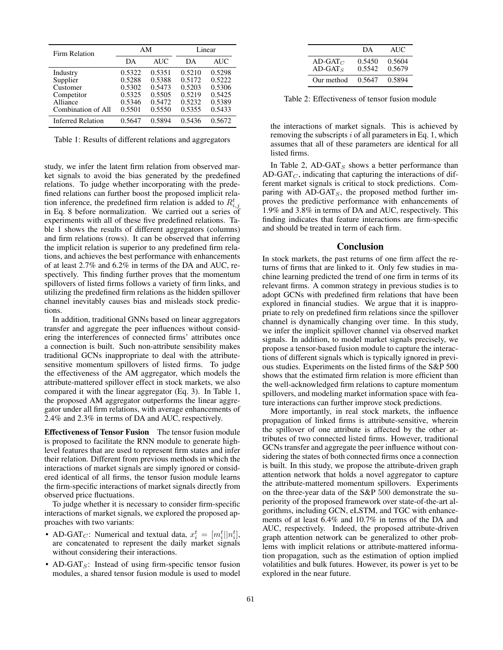| Firm Relation            | AM     |            | Linear |            |
|--------------------------|--------|------------|--------|------------|
|                          | DА     | <b>AUC</b> | DА     | <b>AUC</b> |
| Industry                 | 0.5322 | 0.5351     | 0.5210 | 0.5298     |
| Supplier                 | 0.5288 | 0.5388     | 0.5172 | 0.5222     |
| Customer                 | 0.5302 | 0.5473     | 0.5203 | 0.5306     |
| Competitor               | 0.5325 | 0.5505     | 0.5219 | 0.5425     |
| Alliance                 | 0.5346 | 0.5472     | 0.5232 | 0.5389     |
| Combination of All       | 0.5501 | 0.5550     | 0.5355 | 0.5433     |
| <b>Inferred Relation</b> | 0.5647 | 0.5894     | 0.5436 | 0.5672     |

Table 1: Results of different relations and aggregators

study, we infer the latent firm relation from observed market signals to avoid the bias generated by the predefined relations. To judge whether incorporating with the predefined relations can further boost the proposed implicit relation inference, the predefined firm relation is added to  $R_{i,j}^t$ in Eq. 8 before normalization. We carried out a series of experiments with all of these five predefined relations. Table 1 shows the results of different aggregators (columns) and firm relations (rows). It can be observed that inferring the implicit relation is superior to any predefined firm relations, and achieves the best performance with enhancements of at least 2.7% and 6.2% in terms of the DA and AUC, respectively. This finding further proves that the momentum spillovers of listed firms follows a variety of firm links, and utilizing the predefined firm relations as the hidden spillover channel inevitably causes bias and misleads stock predictions.

In addition, traditional GNNs based on linear aggregators transfer and aggregate the peer influences without considering the interferences of connected firms' attributes once a connection is built. Such non-attribute sensibility makes traditional GCNs inappropriate to deal with the attributesensitive momentum spillovers of listed firms. To judge the effectiveness of the AM aggregator, which models the attribute-mattered spillover effect in stock markets, we also compared it with the linear aggregator (Eq. 3). In Table 1, the proposed AM aggregator outperforms the linear aggregator under all firm relations, with average enhancements of 2.4% and 2.3% in terms of DA and AUC, respectively.

Effectiveness of Tensor Fusion The tensor fusion module is proposed to facilitate the RNN module to generate highlevel features that are used to represent firm states and infer their relation. Different from previous methods in which the interactions of market signals are simply ignored or considered identical of all firms, the tensor fusion module learns the firm-specific interactions of market signals directly from observed price fluctuations.

To judge whether it is necessary to consider firm-specific interactions of market signals, we explored the proposed approaches with two variants:

- AD-GAT<sub>C</sub>: Numerical and textual data,  $x_i^t = [m_i^t || n_i^t]$ , are concatenated to represent the daily market signals without considering their interactions.
- AD-GAT<sub>S</sub>: Instead of using firm-specific tensor fusion modules, a shared tensor fusion module is used to model

|                          | DA               | AUC.             |
|--------------------------|------------------|------------------|
| AD-GAT $_C$<br>$AD-GATS$ | 0.5450<br>0.5542 | 0.5604<br>0.5679 |
| Our method               | 0.5647           | 0.5894           |

Table 2: Effectiveness of tensor fusion module

the interactions of market signals. This is achieved by removing the subscripts  $i$  of all parameters in Eq. 1, which assumes that all of these parameters are identical for all listed firms.

In Table 2,  $AD-GAT<sub>S</sub>$  shows a better performance than AD-GAT $_C$ , indicating that capturing the interactions of different market signals is critical to stock predictions. Comparing with  $AD-GAT<sub>S</sub>$ , the proposed method further improves the predictive performance with enhancements of 1.9% and 3.8% in terms of DA and AUC, respectively. This finding indicates that feature interactions are firm-specific and should be treated in term of each firm.

#### Conclusion

In stock markets, the past returns of one firm affect the returns of firms that are linked to it. Only few studies in machine learning predicted the trend of one firm in terms of its relevant firms. A common strategy in previous studies is to adopt GCNs with predefined firm relations that have been explored in financial studies. We argue that it is inappropriate to rely on predefined firm relations since the spillover channel is dynamically changing over time. In this study, we infer the implicit spillover channel via observed market signals. In addition, to model market signals precisely, we propose a tensor-based fusion module to capture the interactions of different signals which is typically ignored in previous studies. Experiments on the listed firms of the S&P 500 shows that the estimated firm relation is more efficient than the well-acknowledged firm relations to capture momentum spillovers, and modeling market information space with feature interactions can further improve stock predictions.

More importantly, in real stock markets, the influence propagation of linked firms is attribute-sensitive, wherein the spillover of one attribute is affected by the other attributes of two connected listed firms. However, traditional GCNs transfer and aggregate the peer influence without considering the states of both connected firms once a connection is built. In this study, we propose the attribute-driven graph attention network that holds a novel aggregator to capture the attribute-mattered momentum spillovers. Experiments on the three-year data of the S&P 500 demonstrate the superiority of the proposed framework over state-of-the-art algorithms, including GCN, eLSTM, and TGC with enhancements of at least 6.4% and 10.7% in terms of the DA and AUC, respectively. Indeed, the proposed attribute-driven graph attention network can be generalized to other problems with implicit relations or attribute-mattered information propagation, such as the estimation of option implied volatilities and bulk futures. However, its power is yet to be explored in the near future.